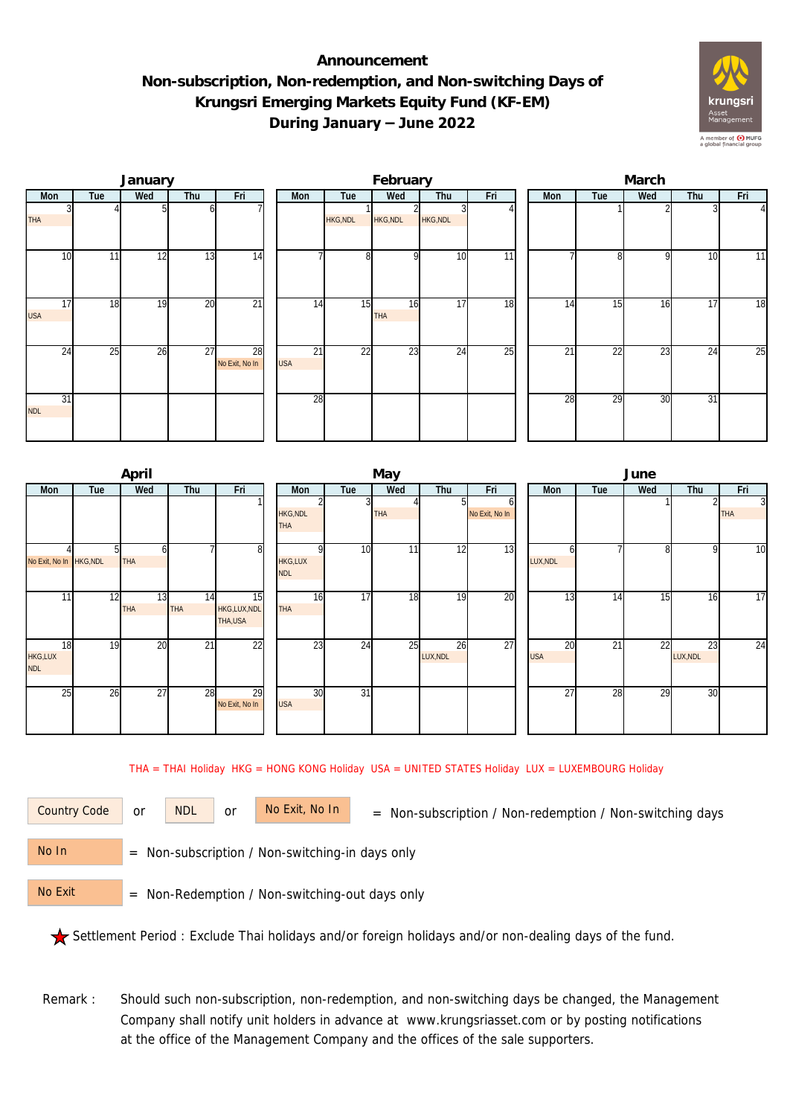## **Announcement Non-subscription, Non-redemption, and Non-switching Days of Krungsri Emerging Markets Equity Fund (KF-EM) During January – June 2022**



|                  |     | January |                 |                      |                               |                 | February         |                 |     | March |                 |     |     |                |  |  |
|------------------|-----|---------|-----------------|----------------------|-------------------------------|-----------------|------------------|-----------------|-----|-------|-----------------|-----|-----|----------------|--|--|
| Mon              | Tue | Wed     | Thu             | Fri                  | Mon                           | Tue             | Wed              | Thu             | Fri | Mon   | Tue             | Wed | Thu | Fri            |  |  |
| <b>THA</b>       |     |         |                 |                      |                               | <b>HKG, NDL</b> | HKG, NDL         | <b>HKG, NDL</b> |     |       |                 |     |     | $\overline{4}$ |  |  |
| 10               | 11  | 12      | 13              | 14                   |                               | 8 <sup>1</sup>  |                  | 10              | 11  |       | n               | Q   | 10  | 11             |  |  |
| 17<br><b>USA</b> | 18  | 19      | 20              | $\overline{21}$      | 14                            | 15              | 16<br><b>THA</b> | 17              | 18  | 14    | 15              | 16  | 17  | 18             |  |  |
| 24               | 25  | 26      | $\overline{27}$ | 28<br>No Exit, No In | $\overline{21}$<br><b>USA</b> | $\overline{22}$ | 23               | 24              | 25  | 21    | $\overline{22}$ | 23  | 24  | 25             |  |  |
| 31<br><b>NDL</b> |     |         |                 |                      | 28                            |                 |                  |                 |     | 28    | 29              | 30  | 31  |                |  |  |

|                             |     | April            |                  |                              |  |                               |          | May             |                |                | June             |     |     |                |                              |  |  |
|-----------------------------|-----|------------------|------------------|------------------------------|--|-------------------------------|----------|-----------------|----------------|----------------|------------------|-----|-----|----------------|------------------------------|--|--|
| Mon                         | Tue | Wed              | Thu              | Fri                          |  | Mon                           | Tue      | Wed             | Thu            | Fri            | Mon              | Tue | Wed | Thu            | Fri                          |  |  |
|                             |     |                  |                  |                              |  | <b>HKG, NDL</b><br><b>THA</b> |          | <b>THA</b>      |                | No Exit, No In |                  |     |     |                | $\overline{3}$<br><b>THA</b> |  |  |
| No Exit, No In HKG, NDL     |     | <b>THA</b>       |                  | 8                            |  | <b>HKG,LUX</b><br><b>NDL</b>  | 10       | 11 <sub>1</sub> | 12             | 13             | LUX, NDL         |     | 8   | o              | 10                           |  |  |
| 11                          | 12  | 13<br><b>THA</b> | 14<br><b>THA</b> | 15<br>HKG,LUX,NDL<br>THA,USA |  | THA                           | 17<br>16 | 18              | 19             | 20             | 13               | 14  | 15  | 16             | 17                           |  |  |
| 18<br>HKG,LUX<br><b>NDL</b> | 19  | 20               | 21               | 22                           |  |                               | 23<br>24 | 25              | 26<br>LUX, NDL | 27             | 20<br><b>USA</b> | 21  | 22  | 23<br>LUX, NDL | 24                           |  |  |
| 25                          | 26  | 27               | 28               | 29<br>No Exit, No In         |  | <b>USA</b>                    | 31<br>30 |                 |                |                | 27               | 28  | 29  | 30             |                              |  |  |

THA = THAI Holiday HKG = HONG KONG Holiday USA = UNITED STATES Holiday LUX = LUXEMBOURG Holiday

or NDL or

Country Code or NDL or No Exit, No In = Non-subscription / Non-redemption / Non-switching days

 = Non-subscription / Non-switching-in days only No In

 = Non-Redemption / Non-switching-out days only No Exit

Settlement Period : Exclude Thai holidays and/or foreign holidays and/or non-dealing days of the fund.

Remark : Should such non-subscription, non-redemption, and non-switching days be changed, the Management Company shall notify unit holders in advance at www.krungsriasset.com or by posting notifications at the office of the Management Company and the offices of the sale supporters.